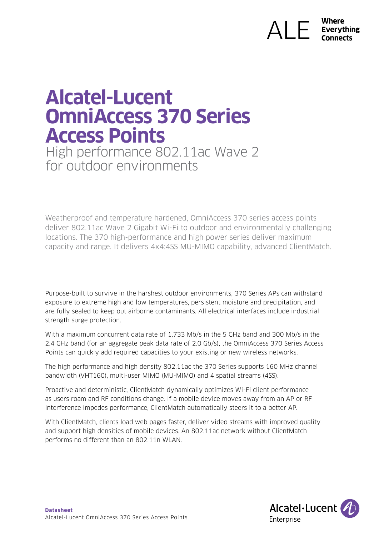# $\bigwedge \bigcup_{\substack{\text{Everything}}}$

# **Alcatel-Lucent OmniAccess 370 Series Access Points**

High performance 802.11ac Wave 2 for outdoor environments

Weatherproof and temperature hardened, OmniAccess 370 series access points deliver 802.11ac Wave 2 Gigabit Wi-Fi to outdoor and environmentally challenging locations. The 370 high-performance and high power series deliver maximum capacity and range. It delivers 4x4:4SS MU-MIMO capability, advanced ClientMatch.

Purpose-built to survive in the harshest outdoor environments, 370 Series APs can withstand exposure to extreme high and low temperatures, persistent moisture and precipitation, and are fully sealed to keep out airborne contaminants. All electrical interfaces include industrial strength surge protection.

With a maximum concurrent data rate of 1,733 Mb/s in the 5 GHz band and 300 Mb/s in the 2.4 GHz band (for an aggregate peak data rate of 2.0 Gb/s), the OmniAccess 370 Series Access Points can quickly add required capacities to your existing or new wireless networks.

The high performance and high density 802.11ac the 370 Series supports 160 MHz channel bandwidth (VHT160), multi-user MIMO (MU-MIMO) and 4 spatial streams (4SS).

Proactive and deterministic, ClientMatch dynamically optimizes Wi-Fi client performance as users roam and RF conditions change. If a mobile device moves away from an AP or RF interference impedes performance, ClientMatch automatically steers it to a better AP.

With ClientMatch, clients load web pages faster, deliver video streams with improved quality and support high densities of mobile devices. An 802.11ac network without ClientMatch performs no different than an 802.11n WLAN.

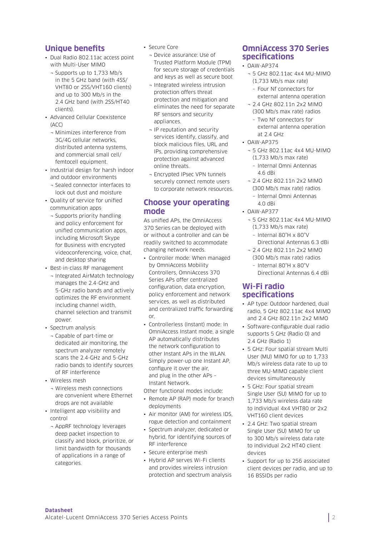# **Unique benefits**

- Dual Radio 802.11ac access point with Multi-User MIMO
	- ¬ Supports up to 1,733 Mb/s in the 5 GHz band (with 4SS/ VHT80 or 2SS/VHT160 clients) and up to 300 Mb/s in the 2.4 GHz band (with 2SS/HT40 clients).
- Advanced Cellular Coexistence  $(ACC)$ 
	- ¬ Minimizes interference from 3G/4G cellular networks, distributed antenna systems, and commercial small cell/ femtocell equipment.
- Industrial design for harsh indoor and outdoor environments
	- ¬ Sealed connector interfaces to lock out dust and moisture
- Quality of service for unified communication apps
	- ¬ Supports priority handling and policy enforcement for unified communication apps, including Microsoft Skype for Business with encrypted videoconferencing, voice, chat, and desktop sharing
- Best-in-class RF management
- ¬ Integrated AirMatch technology manages the 2.4-GHz and 5-GHz radio bands and actively optimizes the RF environment including channel width, channel selection and transmit power.
- Spectrum analysis
	- ¬ Capable of part-time or dedicated air monitoring, the spectrum analyzer remotely scans the 2.4-GHz and 5-GHz radio bands to identify sources of RF interference
- Wireless mesh
- ¬ Wireless mesh connections are convenient where Ethernet drops are not available
- Intelligent app visibility and control
	- ¬ AppRF technology leverages deep packet inspection to classify and block, prioritize, or limit bandwidth for thousands of applications in a range of categories.
- Secure Core
	- ¬ Device assurance: Use of Trusted Platform Module (TPM) for secure storage of credentials and keys as well as secure boot
	- ¬ Integrated wireless intrusion protection offers threat protection and mitigation and eliminates the need for separate RF sensors and security appliances.
	- ¬ IP reputation and security services identify, classify, and block malicious files, URL and IPs, providing comprehensive protection against advanced online threats.
	- ¬ Encrypted IPsec VPN tunnels securely connect remote users to corporate network resources.

# **Choose your operating mode**

As unified APs, the OmniAccess 370 Series can be deployed with or without a controller and can be readily switched to accommodate changing network needs.

- Controller mode: When managed by OmniAccess Mobility Controllers, OmniAccess 370 Series APs offer centralized configuration, data encryption, policy enforcement and network services, as well as distributed and centralized traffic forwarding or,
- Controllerless (Instant) mode: In OmniAccess Instant mode, a single AP automatically distributes the network configuration to other Instant APs in the WLAN. Simply power-up one Instant AP, configure it over the air, and plug in the other APs – Instant Network.
- Other functional modes include:
- Remote AP (RAP) mode for branch deployments
- Air monitor (AM) for wireless IDS, rogue detection and containment
- Spectrum analyzer, dedicated or hybrid, for identifying sources of RF interference
- Secure enterprise mesh
- Hybrid AP serves Wi-Fi clients and provides wireless intrusion protection and spectrum analysis

# **OmniAccess 370 Series specifications**

- OAW-AP374
	- ¬ 5 GHz 802.11ac 4x4 MU-MIMO (1,733 Mb/s max rate)
		- Four Nf connectors for external antenna operation
	- ¬ 2.4 GHz 802.11n 2x2 MIMO (300 Mb/s max rate) radios
		- Two Nf connectors for external antenna operation at 2.4 GHz
- OAW-AP375
	- ¬ 5 GHz 802.11ac 4x4 MU-MIMO (1,733 Mb/s max rate)
		- Internal Omni Antennas 4.6 dBi
	- ¬ 2.4 GHz 802.11n 2x2 MIMO (300 Mb/s max rate) radios
		- Internal Omni Antennas 4.0 dBi
- OAW-AP377
	- ¬ 5 GHz 802.11ac 4x4 MU-MIMO (1,733 Mb/s max rate) – Internal 80°H x 80°V
		- Directional Antennas 6.3 dBi
	- ¬ 2.4 GHz 802.11n 2x2 MIMO (300 Mb/s max rate) radios
	- Internal 80°H x 80°V Directional Antennas 6.4 dBi

### **Wi-Fi radio specifications**

- AP type: Outdoor hardened, dual radio, 5 GHz 802.11ac 4x4 MIMO and 2.4 GHz 802.11n 2x2 MIMO
- Software-configurable dual radio supports 5 GHz (Radio 0) and 2.4 GHz (Radio 1)
- 5 GHz: Four spatial stream Multi User (MU) MIMO for up to 1,733 Mb/s wireless data rate to up to three MU-MIMO capable client devices simultaneously
- 5 GHz: Four spatial stream Single User (SU) MIMO for up to 1,733 Mb/s wireless data rate to individual 4x4 VHT80 or 2x2 VHT160 client devices
- 2.4 GHz: Two spatial stream Single User (SU) MIMO for up to 300 Mb/s wireless data rate to individual 2x2 HT40 client devices
- Support for up to 256 associated client devices per radio, and up to 16 BSSIDs per radio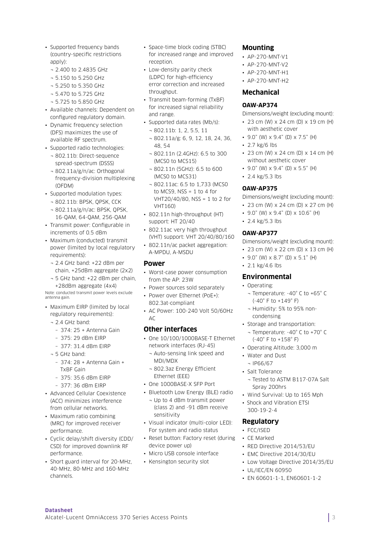- Supported frequency bands (country-specific restrictions apply):
	- ¬ 2.400 to 2.4835 GHz
	- ¬ 5.150 to 5.250 GHz
	- ¬ 5.250 to 5.350 GHz
	- ¬ 5.470 to 5.725 GHz
	- ¬ 5.725 to 5.850 GHz
- Available channels: Dependent on configured regulatory domain.
- Dynamic frequency selection (DFS) maximizes the use of available RF spectrum.
- Supported radio technologies:
	- ¬ 802.11b: Direct-sequence spread-spectrum (DSSS)
	- ¬ 802.11a/g/n/ac: Orthogonal frequency-division multiplexing (OFDM)
- Supported modulation types:
	- ¬ 802.11b: BPSK, QPSK, CCK
	- ¬ 802.11a/g/n/ac: BPSK, QPSK, 16-QAM, 64-QAM, 256-QAM
- Transmit power: Configurable in increments of 0.5 dBm
- Maximum (conducted) transmit power (limited by local regulatory requirements):
	- ¬ 2.4 GHz band: +22 dBm per chain, +25dBm aggregate (2x2)
	- ¬ 5 GHz band: +22 dBm per chain, +28dBm aggregate (4x4)

Note: conducted transmit power levels exclude antenna gain.

- Maximum EIRP (limited by local regulatory requirements):
	- ¬ 2.4 GHz band:
		- 374: 25 + Antenna Gain
		- 375: 29 dBm EIRP
		- $-377:31.4$  dBm FIRP
	- ¬ 5 GHz band:
		- 374: 28 + Antenna Gain + TxBF Gain
		- 375: 35.6 dBm EIRP
		- 377: 36 dBm EIRP
- Advanced Cellular Coexistence (ACC) minimizes interference from cellular networks.
- Maximum ratio combining (MRC) for improved receiver performance.
- Cyclic delay/shift diversity (CDD/ CSD) for improved downlink RF performance.
- Short guard interval for 20-MHz, 40-MHz, 80-MHz and 160-MHz channels.

Alcatel-Lucent OmniAccess 370 Series Access Points

**Datasheet** 

- Space-time block coding (STBC) for increased range and improved reception.
- Low-density parity check (LDPC) for high-efficiency error correction and increased throughput.
- Transmit beam-forming (TxBF) for increased signal reliability and range.
- Supported data rates (Mb/s): ¬ 802.11b: 1, 2, 5.5, 11
	- ¬ 802.11a/g: 6, 9, 12, 18, 24, 36,  $18, 51$
	- ¬ 802.11n (2.4GHz): 6.5 to 300 (MCS0 to MCS15)
	- ¬ 802.11n (5GHz): 6.5 to 600 (MCS0 to MCS31)
	- ¬ 802.11ac: 6.5 to 1,733 (MCS0 to MCS9, NSS =  $1$  to  $4$  for VHT20/40/80, NSS = 1 to 2 for VHT160)
- 802.11n high-throughput (HT) support: HT 20/40
- 802.11ac very high throughput (VHT) support: VHT 20/40/80/160
- 802.11n/ac packet aggregation: A-MPDU, A-MSDU

#### **Power**

- Worst-case power consumption from the AP: 23W
- Power sources sold separately
- Power over Ethernet (PoE+): 802.3at-compliant
- AC Power: 100-240 Volt 50/60Hz  $AC$

#### **Other interfaces**

- One 10/100/1000BASE-T Ethernet network interfaces (RJ-45)
	- ¬ Auto-sensing link speed and MDI/MDX
	- ¬ 802.3az Energy Efficient Ethernet (EEE)
- One 1000BASE-X SFP Port
- Bluetooth Low Energy (BLE) radio ¬ Up to 4 dBm transmit power (class 2) and -91 dBm receive sensitivity
- Visual indicator (multi-color LED): For system and radio status
- Reset button: Factory reset (during device power up)
- Micro USB console interface
- Kensington security slot

#### **Mounting**

- AP-270-MNT-V1
- AP-270-MNT-V2
- AP-270-MNT-H1
- AP-270-MNT-H2

#### **Mechanical**

#### **OAW-AP374**

- Dimensions/weight (excluding mount):
- 23 cm (W) x 24 cm (D) x 19 cm (H) with aesthetic cover
- 9.0" (W) x 9.4" (D) x 7.5" (H)
- 2.7 kg/6 lbs
- 23 cm (W)  $\times$  24 cm (D)  $\times$  14 cm (H) without aesthetic cover
- 9.0" (W) x 9.4" (D) x 5.5" (H)
- 2.4 kg/5.3 lbs

#### **OAW-AP375**

Dimensions/weight (excluding mount):

- 23 cm (W) x 24 cm (D) x 27 cm (H)
- 9.0" (W) x 9.4" (D) x 10.6" (H)
- 2.4 kg/5.3 lbs

#### **OAW-AP377**

Dimensions/weight (excluding mount):

- 23 cm (W) x 22 cm (D) x 13 cm (H)
- 9.0" (W) x 8.7" (D) x 5.1" (H)
- 2.1 kg/4.6 lbs

#### **Environmental**

- Operating:
	- ¬ Temperature: -40° C to +65° C (-40° F to +149° F)
- ¬ Humidity: 5% to 95% noncondensing
- Storage and transportation:
- ¬ Temperature: -40° C to +70° C (-40° F to +158° F)
- Operating Altitude: 3,000 m
- Water and Dust
- ¬ IP66/67
- Salt Tolerance
- ¬ Tested to ASTM B117-07A Salt Spray 200hrs
- Wind Survival: Up to 165 Mph
- Shock and Vibration ETSI 300-19-2-4

#### **Regulatory**

- FCC/ISED
- CE Marked
- RED Directive 2014/53/EU

• Low Voltage Directive 2014/35/EU

• EN 60601-1-1, EN60601-1-2

3

• EMC Directive 2014/30/EU

• UL/IEC/EN 60950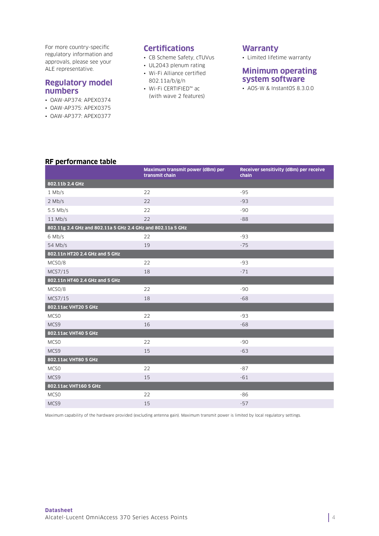For more country-specific regulatory information and approvals, please see your ALE representative.

#### **Regulatory model numbers**

- OAW-AP374: APEX0374
- OAW-AP375: APEX0375
- OAW-AP377: APEX0377

# **Certifications**

- CB Scheme Safety, cTUVus
- UL2043 plenum rating
- Wi-Fi Alliance certified 802.11a/b/g/n
- Wi-Fi CERTIFIED™ ac (with wave 2 features)

#### **Warranty**

• Limited lifetime warranty

#### **Minimum operating system software**

• AOS-W & InstantOS 8.3.0.0

#### **RF performance table**

|                                                             | Maximum transmit power (dBm) per<br>transmit chain | Receiver sensitivity (dBm) per receive<br>chain |
|-------------------------------------------------------------|----------------------------------------------------|-------------------------------------------------|
| 802.11b 2.4 GHz                                             |                                                    |                                                 |
| $1$ Mb/s                                                    | 22                                                 | $-95$                                           |
| $2$ Mb/s                                                    | 22                                                 | $-93$                                           |
| $5.5$ Mb/s                                                  | 22                                                 | $-90$                                           |
| $11$ Mb/s                                                   | 22                                                 | $-88$                                           |
| 802.11g 2.4 GHz and 802.11a 5 GHz 2.4 GHz and 802.11a 5 GHz |                                                    |                                                 |
| 6 Mb/s                                                      | 22                                                 | $-93$                                           |
| 54 Mb/s                                                     | 19                                                 | $-75$                                           |
| 802.11n HT20 2.4 GHz and 5 GHz                              |                                                    |                                                 |
| MCSO/8                                                      | 22                                                 | $-93$                                           |
| MCS7/15                                                     | 18                                                 | $-71$                                           |
| 802.11n HT40 2.4 GHz and 5 GHz                              |                                                    |                                                 |
| MCSO/8                                                      | 22                                                 | $-90$                                           |
| MCS7/15                                                     | 18                                                 | $-68$                                           |
| 802.11ac VHT20 5 GHz                                        |                                                    |                                                 |
| MCS <sub>0</sub>                                            | 22                                                 | $-93$                                           |
| MCS9                                                        | 16                                                 | $-68$                                           |
| 802.11ac VHT40 5 GHz                                        |                                                    |                                                 |
| MCS <sub>0</sub>                                            | 22                                                 | $-90$                                           |
| MCS9                                                        | 15                                                 | $-63$                                           |
| 802.11ac VHT80 5 GHz                                        |                                                    |                                                 |
| MCS <sub>0</sub>                                            | 22                                                 | $-87$                                           |
| MCS9                                                        | 15                                                 | $-61$                                           |
| 802.11ac VHT160 5 GHz                                       |                                                    |                                                 |
| MCS <sub>0</sub>                                            | 22                                                 | $-86$                                           |
| MCS9                                                        | 15                                                 | $-57$                                           |

Maximum capability of the hardware provided (excluding antenna gain). Maximum transmit power is limited by local regulatory settings.